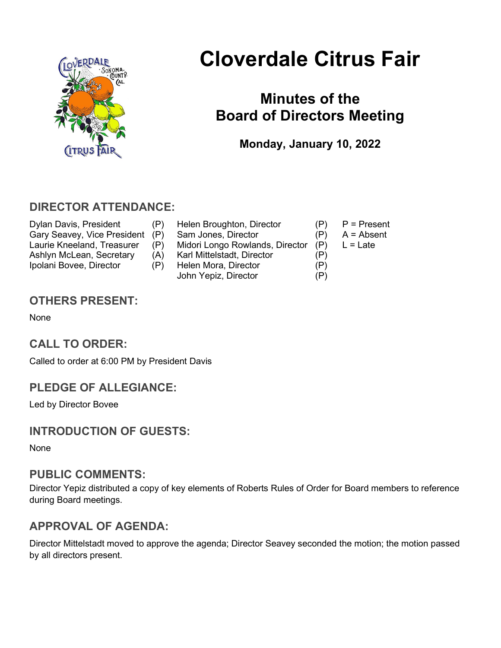

# Cloverdale Citrus Fair

## Minutes of the Board of Directors Meeting

Monday, January 10, 2022

### DIRECTOR ATTENDANCE:

- Dylan Davis, President (P) Helen Broughton, Director (P) P = Present<br>Gary Seavey, Vice President (P) Sam Jones, Director (P) A = Absent Gary Seavey, Vice President (P) Sam Jones, Director (P) Laurie Kneeland, Treasurer (P) Midori Longo Rowlands, Director (P) L = Late Ashlyn McLean, Secretary (A) Karl Mittelstadt, Director (P) Ipolani Bovee, Director (P) Helen Mora, Director (P) John Yepiz, Director (P)
- -
	-
	-

### OTHERS PRESENT:

None

### CALL TO ORDER:

Called to order at 6:00 PM by President Davis

### PLEDGE OF ALLEGIANCE:

Led by Director Bovee

### INTRODUCTION OF GUESTS:

None

#### PUBLIC COMMENTS:

Director Yepiz distributed a copy of key elements of Roberts Rules of Order for Board members to reference during Board meetings.

### APPROVAL OF AGENDA:

Director Mittelstadt moved to approve the agenda; Director Seavey seconded the motion; the motion passed by all directors present.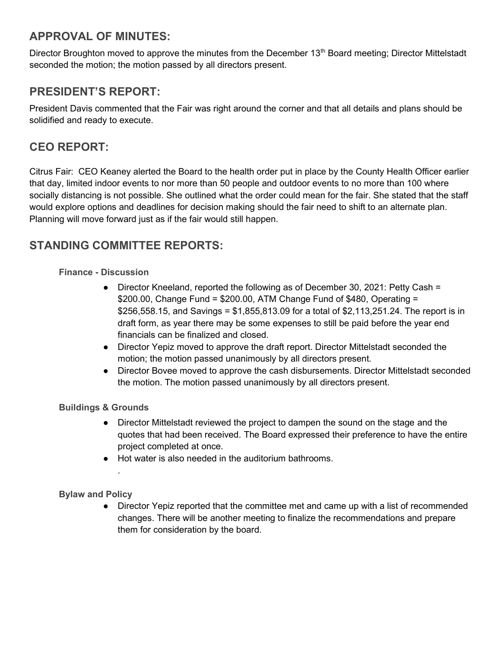### APPROVAL OF MINUTES:

Director Broughton moved to approve the minutes from the December  $13<sup>th</sup>$  Board meeting; Director Mittelstadt seconded the motion; the motion passed by all directors present.

### PRESIDENT'S REPORT:

President Davis commented that the Fair was right around the corner and that all details and plans should be solidified and ready to execute.

### CEO REPORT:

Citrus Fair: CEO Keaney alerted the Board to the health order put in place by the County Health Officer earlier that day, limited indoor events to nor more than 50 people and outdoor events to no more than 100 where socially distancing is not possible. She outlined what the order could mean for the fair. She stated that the staff would explore options and deadlines for decision making should the fair need to shift to an alternate plan. Planning will move forward just as if the fair would still happen.

### STANDING COMMITTEE REPORTS:

#### Finance - Discussion

- Director Kneeland, reported the following as of December 30, 2021: Petty Cash = \$200.00, Change Fund =  $$200.00$ , ATM Change Fund of \$480, Operating = \$256,558.15, and Savings = \$1,855,813.09 for a total of \$2,113,251.24. The report is in draft form, as year there may be some expenses to still be paid before the year end financials can be finalized and closed.
- Director Yepiz moved to approve the draft report. Director Mittelstadt seconded the motion; the motion passed unanimously by all directors present.
- Director Bovee moved to approve the cash disbursements. Director Mittelstadt seconded the motion. The motion passed unanimously by all directors present.

#### Buildings & Grounds

.

- Director Mittelstadt reviewed the project to dampen the sound on the stage and the quotes that had been received. The Board expressed their preference to have the entire project completed at once.
- Hot water is also needed in the auditorium bathrooms.

#### Bylaw and Policy

• Director Yepiz reported that the committee met and came up with a list of recommended changes. There will be another meeting to finalize the recommendations and prepare them for consideration by the board.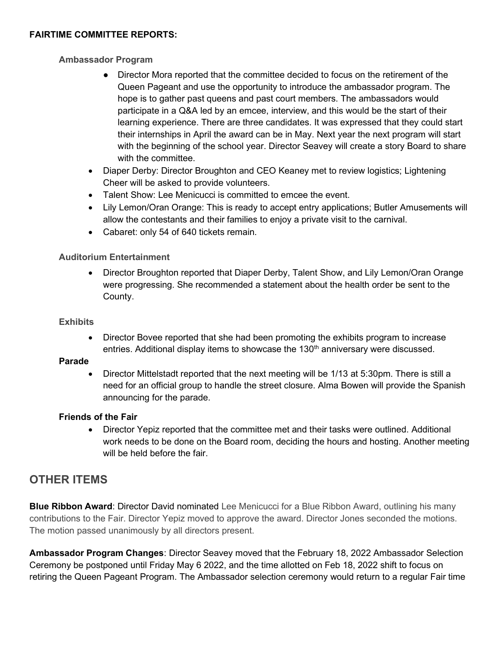#### FAIRTIME COMMITTEE REPORTS:

#### Ambassador Program

- Director Mora reported that the committee decided to focus on the retirement of the Queen Pageant and use the opportunity to introduce the ambassador program. The hope is to gather past queens and past court members. The ambassadors would participate in a Q&A led by an emcee, interview, and this would be the start of their learning experience. There are three candidates. It was expressed that they could start their internships in April the award can be in May. Next year the next program will start with the beginning of the school year. Director Seavey will create a story Board to share with the committee.
- Diaper Derby: Director Broughton and CEO Keaney met to review logistics; Lightening Cheer will be asked to provide volunteers.
- Talent Show: Lee Menicucci is committed to emcee the event.
- Lily Lemon/Oran Orange: This is ready to accept entry applications; Butler Amusements will allow the contestants and their families to enjoy a private visit to the carnival.
- Cabaret: only 54 of 640 tickets remain.

#### Auditorium Entertainment

• Director Broughton reported that Diaper Derby, Talent Show, and Lily Lemon/Oran Orange were progressing. She recommended a statement about the health order be sent to the County.

#### **Exhibits**

• Director Bovee reported that she had been promoting the exhibits program to increase entries. Additional display items to showcase the  $130<sup>th</sup>$  anniversary were discussed.

#### Parade

 Director Mittelstadt reported that the next meeting will be 1/13 at 5:30pm. There is still a need for an official group to handle the street closure. Alma Bowen will provide the Spanish announcing for the parade.

#### Friends of the Fair

• Director Yepiz reported that the committee met and their tasks were outlined. Additional work needs to be done on the Board room, deciding the hours and hosting. Another meeting will be held before the fair.

#### OTHER ITEMS

**Blue Ribbon Award:** Director David nominated Lee Menicucci for a Blue Ribbon Award, outlining his many contributions to the Fair. Director Yepiz moved to approve the award. Director Jones seconded the motions. The motion passed unanimously by all directors present.

Ambassador Program Changes: Director Seavey moved that the February 18, 2022 Ambassador Selection Ceremony be postponed until Friday May 6 2022, and the time allotted on Feb 18, 2022 shift to focus on retiring the Queen Pageant Program. The Ambassador selection ceremony would return to a regular Fair time